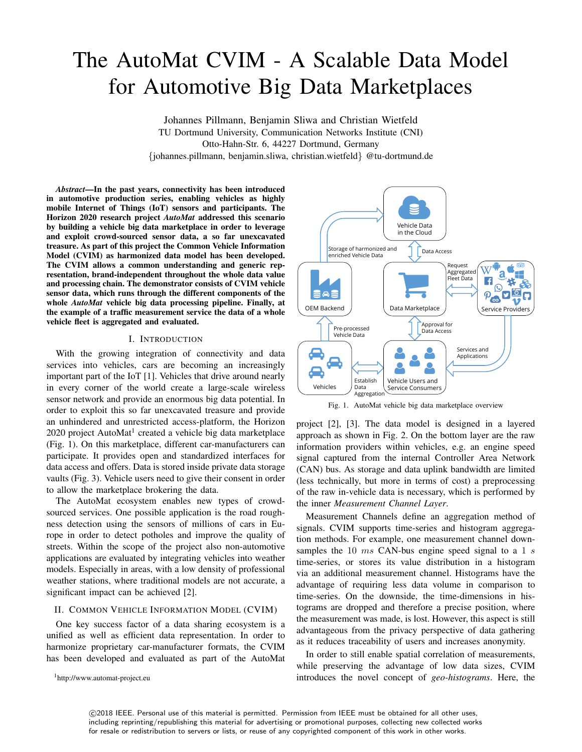# The AutoMat CVIM - A Scalable Data Model for Automotive Big Data Marketplaces

Johannes Pillmann, Benjamin Sliwa and Christian Wietfeld TU Dortmund University, Communication Networks Institute (CNI) Otto-Hahn-Str. 6, 44227 Dortmund, Germany {johannes.pillmann, benjamin.sliwa, christian.wietfeld} @tu-dortmund.de

*Abstract*—In the past years, connectivity has been introduced in automotive production series, enabling vehicles as highly mobile Internet of Things (IoT) sensors and participants. The Horizon 2020 research project *AutoMat* addressed this scenario by building a vehicle big data marketplace in order to leverage and exploit crowd-sourced sensor data, a so far unexcavated treasure. As part of this project the Common Vehicle Information Model (CVIM) as harmonized data model has been developed. The CVIM allows a common understanding and generic representation, brand-independent throughout the whole data value and processing chain. The demonstrator consists of CVIM vehicle sensor data, which runs through the different components of the whole *AutoMat* vehicle big data processing pipeline. Finally, at the example of a traffic measurement service the data of a whole vehicle fleet is aggregated and evaluated.

## I. INTRODUCTION

With the growing integration of connectivity and data services into vehicles, cars are becoming an increasingly important part of the IoT [1]. Vehicles that drive around nearly in every corner of the world create a large-scale wireless sensor network and provide an enormous big data potential. In order to exploit this so far unexcavated treasure and provide an unhindered and unrestricted access-platform, the Horizon 2020 project AutoMat<sup>1</sup> created a vehicle big data marketplace (Fig. 1). On this marketplace, different car-manufacturers can participate. It provides open and standardized interfaces for data access and offers. Data is stored inside private data storage vaults (Fig. 3). Vehicle users need to give their consent in order to allow the marketplace brokering the data.

The AutoMat ecosystem enables new types of crowdsourced services. One possible application is the road roughness detection using the sensors of millions of cars in Europe in order to detect potholes and improve the quality of streets. Within the scope of the project also non-automotive applications are evaluated by integrating vehicles into weather models. Especially in areas, with a low density of professional weather stations, where traditional models are not accurate, a significant impact can be achieved [2].

# II. COMMON VEHICLE INFORMATION MODEL (CVIM)

One key success factor of a data sharing ecosystem is a unified as well as efficient data representation. In order to harmonize proprietary car-manufacturer formats, the CVIM has been developed and evaluated as part of the AutoMat

<sup>1</sup>http://www.automat-project.eu



Fig. 1. AutoMat vehicle big data marketplace overview

project [2], [3]. The data model is designed in a layered approach as shown in Fig. 2. On the bottom layer are the raw information providers within vehicles, e.g. an engine speed signal captured from the internal Controller Area Network (CAN) bus. As storage and data uplink bandwidth are limited (less technically, but more in terms of cost) a preprocessing of the raw in-vehicle data is necessary, which is performed by the inner *Measurement Channel Layer*.

Measurement Channels define an aggregation method of signals. CVIM supports time-series and histogram aggregation methods. For example, one measurement channel downsamples the 10  $ms$  CAN-bus engine speed signal to a 1 s time-series, or stores its value distribution in a histogram via an additional measurement channel. Histograms have the advantage of requiring less data volume in comparison to time-series. On the downside, the time-dimensions in histograms are dropped and therefore a precise position, where the measurement was made, is lost. However, this aspect is still advantageous from the privacy perspective of data gathering as it reduces traceability of users and increases anonymity.

In order to still enable spatial correlation of measurements, while preserving the advantage of low data sizes, CVIM introduces the novel concept of *geo-histograms*. Here, the